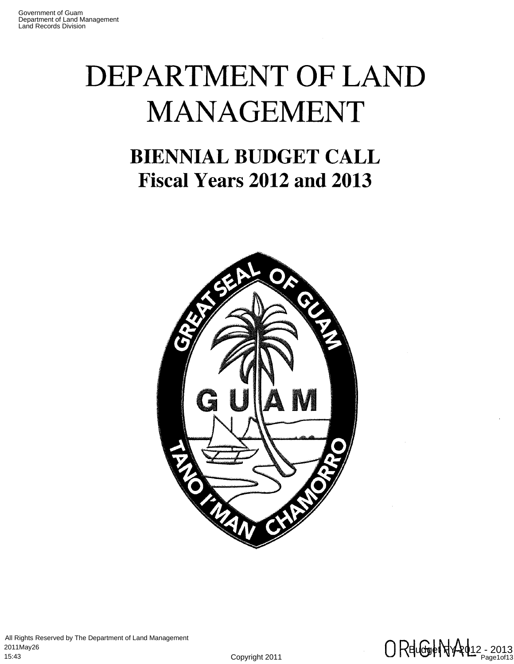# **DEPARTMENT OF LAND MANAGEMENT**

# **BIENNIAL BUDGET CALL Fiscal Years 2012 and 2013**



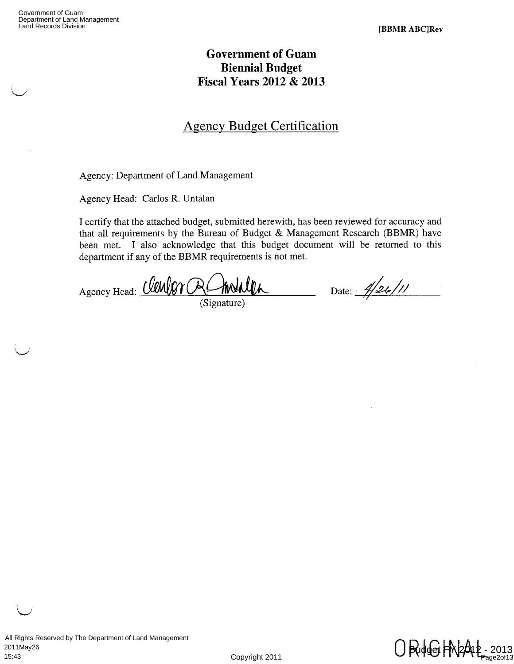# **Government of Guam Biennial Budget Fiscal Years 2012 & 2013**

# Agency Budget Certification

Agency: Department of Land Management

Agency Head: Carlos R. Untalan

I certify that the attached budget, submitted herewith, has been reviewed for accuracy and that all requirements by the Bureau of Budget & Management Research (BBMR) have been met. I also acknowledge that this budget document will be returned to this department if any of the BBMR requirements is not met.

Agency Head: *(lewlor RC* 

(Signature)

Date: 4/26/11

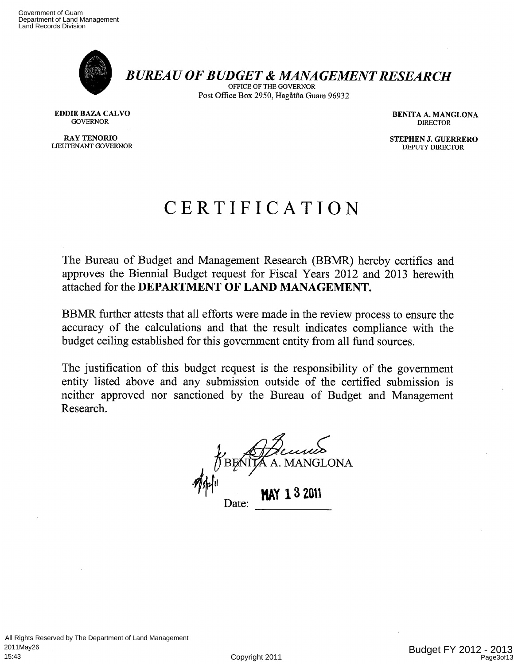

*BUREAU OF BUDGET & MANAGEMENT RESEARCH* 

OFFICE OF THE GOVERNOR Post Office Box 2950, Hagåtña Guam 96932

LIEUTENANT GOVERNOR

EDDIE BAZA CALVO GOVERNOR DENITA A. MANGLONA DENITA A. MANGLONA DENITA A. BENITA A. BENITA A. BENITA A. BENITA A. BENITA A. BENITA A. BENITA A. BENITA A. BENITA A. BENITA A. BENITA A. BENITA A. BENITA A. BENITA A. BENITA A GOVERNOR DIRECTOR CONTROL CONTROL CONTROL CONTROL CONTROL CONTROL CONTROL CONTROL CONTROL CONTROL CONTROL CONTROL CONTROL CONTROL CONTROL CONTROL CONTROL CONTROL CONTROL CONTROL CONTROL CONTROL CONTROL CONTROL CONTROL CONT

**RAY TENORIO STEPHEN J. GUERRERO STEPHEN STEPHEN STEPHEN STEPHEN STEPHEN STEPHEN STEPHEN STEPHEN STEPHEN STEPHEN STEPHEN STEPHEN STEPHEN STEPHEN STEPHEN STEPHEN STEPHEN STEPHEN STEPHEN STEPHEN STEPHEN STEPHEN STEPHEN STEPH** 

# CERTIFICATION

The Bureau of Budget and Management Research (BBMR) hereby certifies and approves the Biennial Budget request for Fiscal Years 2012 and 2013 herewith attached for the **DEPARTMENT OF LAND MANAGEMENT.** 

BBMR further attests that all efforts were made in the review process to ensure the accuracy of the calculations and that the result indicates compliance with the budget ceiling established for this government entity from all fund sources.

The justification of this budget request is the responsibility of the government entity listed above and any submission outside of the certified submission is neither approved nor sanctioned by the Bureau of Budget and Management Research.

*Amoy e-e-e-ize-C 40 4 BENITA A. MAN*  $\mathscr{M}$ shal I Date: **MAY 13 2011**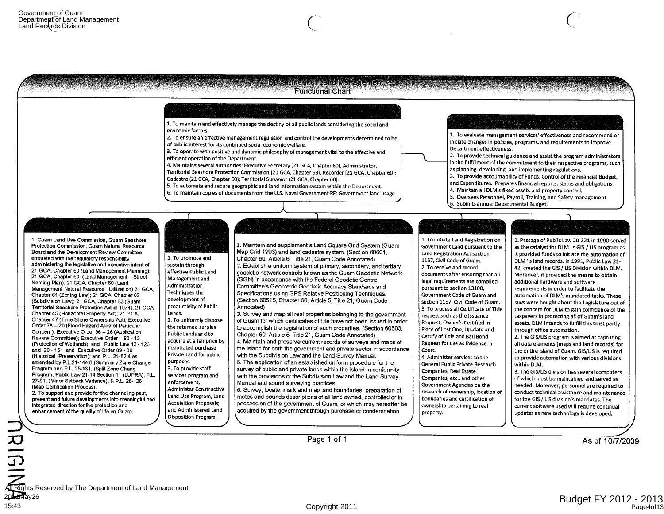

**3.7** 

2011May26 15:43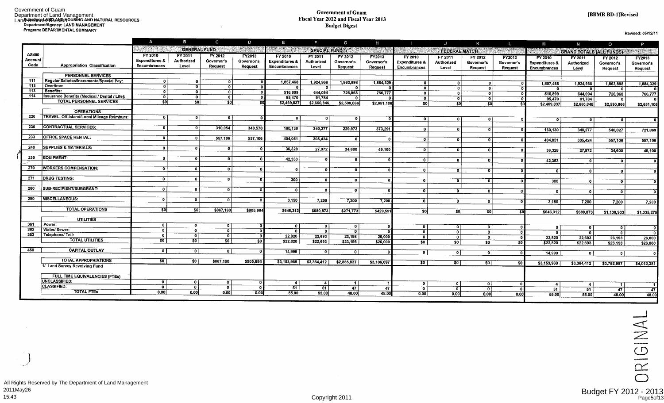#### Government of Guam Fiscal Year 2012 and Fiscal Year 2013 Budget Digest

Revised: 05/12/11

|         |                                               | $\mathsf{A}$              | B                           | $\mathbf{C}$                              | D              | E                                       | ÷                              | G                         | H             |                                                 | $\mathbf{J}$          | K              | ч.         | M                         | N                               | $\circ$                 | P                         |
|---------|-----------------------------------------------|---------------------------|-----------------------------|-------------------------------------------|----------------|-----------------------------------------|--------------------------------|---------------------------|---------------|-------------------------------------------------|-----------------------|----------------|------------|---------------------------|---------------------------------|-------------------------|---------------------------|
|         |                                               | 1855 - 19                 |                             | <b>GENERAL FUND</b>                       | an ann         |                                         |                                | <b>SPECIAL FUND 1/</b>    | 医肠的病          |                                                 | <b>FEDERAL MATCH.</b> |                | San Bara   |                           | <b>GRAND TOTALS (ALL FUNDS)</b> |                         |                           |
| AS400   |                                               | FY 2010                   | FY 2011                     | FY 2012                                   | FY2013         | FY 2010                                 | FY 2011                        | FY 2012                   | <b>FY2013</b> | FY 2010                                         | FY 2011               | FY 2012        | FY2013     | FY 2010                   | FY 2011                         | FY 2012                 | FY2013                    |
| Account |                                               | <b>Expenditures &amp;</b> | Authorized                  | Governor's                                | Governor's     | <b>Expenditures &amp;</b>               | Authorized                     | Governor's                | Governor's    | <b>Expenditures &amp;</b>                       | Authorized            | Governor's     | Governor's | <b>Expenditures &amp;</b> | Authorized                      | Governor's              | Governor's                |
| Code    | Appropriation Classification                  | <b>Encumbrances</b>       | Level                       | Request                                   | Request        | <b>Encumbrances</b>                     | Level                          | Request                   | Request       | Encumbrances                                    | Level                 | Request        | Request    | <b>Encumbrances</b>       | Level                           | Request                 | Request                   |
|         | <b>PERSONNEL SERVICES</b>                     |                           |                             |                                           |                |                                         |                                |                           |               |                                                 |                       |                |            |                           |                                 |                         |                           |
| 111     | Regular Salaries/Increments/Special Pav:      | $\overline{0}$            | $\mathbf{r}$                | $\mathbf{0}$                              |                | 1,857,468                               | 1,924,968                      | 1,863,898                 | 1,884,329     | $\overline{\mathbf{o}}$                         | οI                    | 0              |            | 1,857,468                 | 1,924,968                       | 1,863,898               | 1,884,329                 |
| 112     | Overtime:                                     | o⊤                        | $\overline{0}$              | $\mathbf{0}$                              |                | $\mathbf{0}$                            | o                              | $\mathbf{0}$              |               | $\sigma$                                        | $\mathbf{r}$          | $\mathbf{0}$   |            | $\mathbf o$               | $\Omega$                        | n                       | $\mathbf{0}$              |
| 113     | Benefits:                                     | $\overline{0}$            | $\overline{0}$              | $\overline{\mathbf{o}}$                   | $\Omega$       | 516,899                                 | 644.094                        | 726,968                   | 766,777       | - O I                                           | $\mathbf{0}$          | $\bullet$      |            | 516,899                   | 644,094                         | 726,968                 | 766,777                   |
| 114     | Insurance Benefits (Medical / Dental / Life): | তা                        | $\overline{\mathbf{0}}$     | $\bullet$                                 | $\overline{0}$ | 95,470                                  | 91,784                         | $\mathbf{a}$              |               | $\overline{0}$                                  | া                     | $\overline{0}$ | $\Omega$   | 95,470                    | 91,784                          | $^{\circ}$              | n                         |
|         | <b>TOTAL PERSONNEL SERVICES</b>               | \$0                       | $\overline{\mathfrak{s}}$ 0 | $\overline{\phantom{0}}$ sol              | 50             | \$2,469,837                             | \$2,660,846                    | \$2,590,866               | \$2,651,100   | 50                                              | \$0 <sub>1</sub>      | 50             | SO         | \$2,469,837               | \$2,660,846                     | \$2,590,866             | \$2,651,106               |
|         |                                               |                           |                             |                                           |                |                                         |                                |                           |               |                                                 |                       |                |            |                           |                                 |                         |                           |
|         | <b>OPERATIONS</b>                             |                           |                             |                                           |                |                                         |                                |                           |               |                                                 |                       |                |            |                           |                                 |                         |                           |
| 220     | TRAVEL- Off-Island/Local Mileage Reimburs:    | $\overline{0}$            | $\mathbf{0}$                | $\bullet$                                 |                | $\overline{0}$                          | $\mathbf{0}$                   | $\mathbf{0}$              |               | $\overline{0}$                                  | $\theta$              | $\mathbf{0}$   |            | 0                         | $\mathbf{0}$                    | $\overline{\mathbf{0}}$ | $\overline{\mathbf{0}}$   |
| 230     | <b>CONTRACTUAL SERVICES:</b>                  | $\overline{0}$            | $\overline{0}$              | 310,054                                   |                |                                         |                                |                           |               |                                                 |                       |                |            |                           |                                 |                         |                           |
|         |                                               |                           |                             |                                           | 348,578        | 160,130                                 | 340,277                        | 229,973                   | 373,291       | $\mathbf{0}$                                    | $\Omega$              | $\Omega$       |            | 160,130                   | 340,277                         | 540,027                 | 721,869                   |
| 233     | <b>OFFICE SPACE RENTAL:</b>                   | $\Omega$                  | $^{\circ}$                  | 557,106                                   | 557,106        | 404,051                                 | 305,424                        | n.                        |               |                                                 |                       |                |            |                           |                                 |                         |                           |
|         |                                               |                           |                             |                                           |                |                                         |                                |                           |               | $\overline{\mathbf{o}}$                         | $\overline{0}$        | $\Omega$       |            | 404,051                   | 305,424                         | 557,106                 | 557,106                   |
| 240     | <b>SUPPLIES &amp; MATERIALS:</b>              | 0 <sup>1</sup>            | $\bullet$                   | $\mathbf{o}$                              |                | 36,328                                  | 27,972                         | 34,600                    | 49,100        | $\mathbf{0}$                                    | $\overline{0}$        | $\mathbf{o}$   |            |                           |                                 |                         |                           |
|         |                                               |                           |                             |                                           |                |                                         |                                |                           |               |                                                 |                       |                |            | 36,328                    | 27,972                          | 34,600                  | 49,100                    |
| 250     | <b>EQUIPMENT:</b>                             | $\Omega$                  | $\bullet$                   | $\mathbf{0}$                              | $\mathbf{a}$   | 42,353                                  | $\Omega$                       | $\mathbf{0}$              | $\mathbf{r}$  | $\mathbf{0}$                                    | - O-L                 | $\mathbf{0}$   |            |                           | $\Omega$                        |                         |                           |
|         |                                               |                           |                             |                                           |                |                                         |                                |                           |               |                                                 |                       |                |            | 42,353                    |                                 | $\mathbf{o}$            | o                         |
| 270     | <b>WORKERS COMPENSATION:</b>                  | 01                        | $\bullet$                   | $\overline{0}$                            | $\Omega$       | $\overline{0}$                          | $^{\circ}$                     | $\Omega$                  |               | $\Omega$                                        | $\Omega$              | $\Omega$       |            | $\mathbf{0}$              | n I                             | $\mathbf{0}$            | Ō                         |
|         |                                               |                           |                             |                                           |                |                                         |                                |                           |               |                                                 |                       |                |            |                           |                                 |                         |                           |
| 271     | <b>DRUG TESTING:</b>                          | $\overline{0}$            | $\overline{0}$              | $\bullet$                                 | $\mathbf{r}$   | 300                                     | - O L                          | $\Omega$                  |               | $\mathbf{0}$                                    | $\mathbf{0}$          | $\overline{0}$ |            | 300                       | $\Omega$                        | $^{\circ}$              | ืо∣                       |
|         |                                               |                           |                             |                                           |                |                                         |                                |                           |               |                                                 |                       |                |            |                           |                                 |                         |                           |
| 280     | SUB-RECIPIENT/SUBGRANT:                       | $\Omega$                  | $\overline{0}$              | $\mathbf{0}$                              | $\Omega$       | $\overline{0}$                          | $\Omega$                       | $\overline{\mathfrak{o}}$ |               | $\overline{\mathbf{0}}$                         | $\Omega$              | $\overline{0}$ |            | $\Omega$                  | $^{\circ}$                      | 0                       | - 0-1                     |
|         |                                               |                           |                             |                                           |                |                                         |                                |                           |               |                                                 |                       |                |            |                           |                                 |                         |                           |
| 290     | <b>MISCELLANEOUS:</b>                         | $\Omega$                  | $\overline{0}$              | n.                                        | $\overline{0}$ | 3.150                                   | 7,200                          | 7,200                     | 7,200         | $\bullet$                                       | $\bullet$             | οI             |            | 3,150                     | 7,200                           | 7,200                   | 7,200                     |
|         |                                               |                           |                             |                                           |                |                                         |                                |                           |               |                                                 |                       |                |            |                           |                                 |                         |                           |
|         | <b>TOTAL OPERATIONS</b>                       | <b>SO</b>                 | 50                          | \$867,160                                 | \$905,684      | \$646,312                               | \$680,873                      | \$271,773                 | \$429,59      | 50                                              | SO                    | 50             |            | \$646,312                 | \$680,873                       | \$1,138,933             | \$1,335,275               |
|         | <b>UTILITIES</b>                              |                           |                             |                                           |                |                                         |                                |                           |               |                                                 |                       |                |            |                           |                                 |                         |                           |
| 361     | Power:                                        | $\mathbf{0}$              | $\bullet$                   |                                           |                |                                         |                                |                           |               |                                                 |                       |                |            |                           |                                 |                         |                           |
| 362     | Water/ Sewer:                                 | ΩI                        | $\overline{\mathbf{o}}$     | $\overline{0}$<br>$\overline{\mathbf{o}}$ | $\mathbf{a}$   | $\mathbf{0}$<br>$\overline{\mathbf{0}}$ | $\mathbf{0}$<br>$\overline{ }$ | 0 <sup>1</sup>            | $\mathbf{a}$  | $\overline{\mathbf{0}}$ $\overline{\mathbf{0}}$ | $^{\circ}$            | οI             |            | οI                        | - O-L                           | $\Omega$                | $\Omega$                  |
| 363     | Telephone/ Toll:                              | ΟI                        | $\mathbf{0}$                | $\overline{\mathbf{o}}$                   |                | 22,820                                  |                                | $\overline{0}$            |               | $\bullet$                                       | $\mathbf{0}$          | $^{\circ}$     |            | $\overline{0}$            | -n l                            | $\overline{\mathbf{r}}$ | $\overline{\mathfrak{o}}$ |
|         | <b>TOTAL UTILITIES</b>                        | \$0                       | 50                          | 50 <sub>1</sub>                           | 50             | \$22,820                                | 22,693<br>\$22,693             | 23,198                    | 26,000        | $\overline{\phantom{0}}$                        | $\mathbf{0}$          | $\mathbf{0}$   | - 0        | 22,820                    | 22,693                          | 23,198                  | 26,000                    |
|         |                                               |                           |                             |                                           |                |                                         |                                | \$23,198                  | \$26,000      | 50                                              | \$0                   | \$0            | 50         | \$22,820                  | \$22,693                        | \$23,198                | \$26,000                  |
| 450     | <b>CAPITAL OUTLAY</b>                         | $\overline{0}$            | $\overline{\bullet}$        | $\overline{\mathbf{0}}$                   | $\Omega$       | 14.999                                  | - G-I                          | $\circ$                   |               | $\overline{\mathbf{0}}$                         | $\circ$ 1             | তা             |            |                           |                                 |                         |                           |
|         |                                               |                           |                             |                                           |                |                                         |                                |                           |               |                                                 |                       |                | -0         | 14,999                    | $\overline{0}$                  | 0                       | ÖΙ                        |
|         | <b>TOTAL APPROPRIATIONS</b>                   | 50                        | 50                          | \$867,160                                 | \$905,684      | \$3,153,968                             | \$3,364,412                    | \$2,885,837               | \$3,106,697   | 50                                              | 50                    | 50             | \$0        | \$3,153,968               | \$3,364,412                     |                         |                           |
|         | 1/ Land Survey Revolving Fund                 |                           |                             |                                           |                |                                         |                                |                           |               |                                                 |                       |                |            |                           |                                 | \$3,752,997             | \$4,012,381               |
|         |                                               |                           |                             |                                           |                |                                         |                                |                           |               |                                                 |                       |                |            |                           |                                 |                         |                           |
|         | <b>FULL TIME EQUIVALENCIES (FTES)</b>         |                           |                             |                                           |                |                                         |                                |                           |               |                                                 |                       |                |            |                           |                                 |                         |                           |
|         | UNCLASSIFIED.                                 | $\bullet$                 | $\circ$                     | $\overline{0}$                            | n              | -4                                      | -4                             | $\mathbf{1}$              |               | $\bullet$                                       | $\mathbf{0}$          | οl             |            | $\boldsymbol{A}$          | -4                              | $\mathbf{1}$            | -11                       |
|         | <b>CLASSIFIED:</b>                            | $\mathbf{a}$              | $\overline{0}$              | $\Omega$                                  | $\Omega$       | $-51$                                   | 51                             | 47                        | 47            | $\overline{\mathbf{0}}$                         | $\overline{0}$        | - 01           |            | 51                        | 51                              | 47                      | 47                        |
|         | <b>TOTAL FTES</b>                             | 0.00                      | 0.00                        | 0,00                                      | 0.00           | 55.00                                   | 55,00                          | 48.00                     | 48.00         | 0.00                                            | 0.00                  | 0.00           | 0.00       | 55.00                     | 55,00                           | 48.00                   | 48.00                     |
|         |                                               |                           |                             |                                           |                |                                         |                                |                           |               |                                                 |                       |                |            |                           |                                 |                         |                           |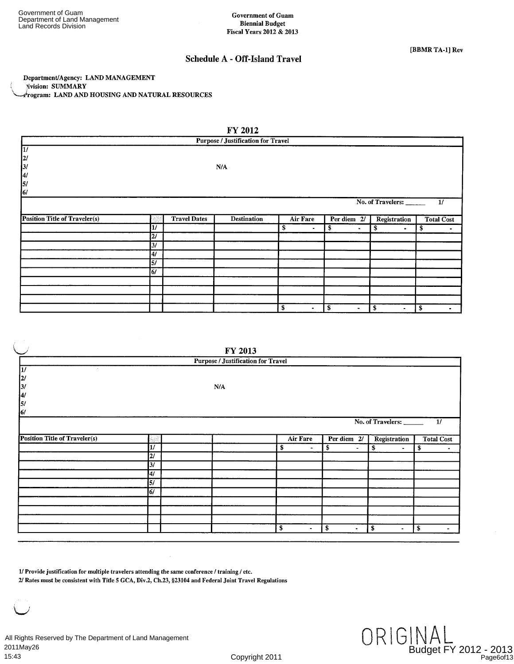#### Schedule A - Off-Island Travel

Department/Agency: LAND MANAGEMENT livision: SUMMARY 4ogram: LAND AND HOUSING AND NATURAL RESOURCES

|                                                       |                 |                     | FY 2012                                   |                      |                      |                                 |                   |
|-------------------------------------------------------|-----------------|---------------------|-------------------------------------------|----------------------|----------------------|---------------------------------|-------------------|
|                                                       |                 |                     | <b>Purpose / Justification for Travel</b> |                      |                      |                                 |                   |
| $\overline{u}$                                        |                 |                     |                                           |                      |                      |                                 |                   |
|                                                       |                 |                     |                                           |                      |                      |                                 |                   |
| $\begin{array}{c} \n2/ \\ \n3/ \\ \n4/ \n\end{array}$ |                 |                     | N/A                                       |                      |                      |                                 |                   |
| $\vert$ 5/                                            |                 |                     |                                           |                      |                      |                                 |                   |
| 6/                                                    |                 |                     |                                           |                      |                      |                                 |                   |
|                                                       |                 |                     |                                           |                      |                      | No. of Travelers: $\frac{1}{1}$ |                   |
|                                                       |                 |                     |                                           |                      |                      |                                 |                   |
| <b>Position Title of Traveler(s)</b>                  |                 | <b>Travel Dates</b> | <b>Destination</b>                        | Air Fare             | Per diem 2/          | Registration                    | <b>Total Cost</b> |
|                                                       | $\overline{11}$ |                     |                                           | \$<br>$\blacksquare$ | \$<br>$\blacksquare$ | \$<br>$\bullet$                 | \$<br>$\bullet$   |
|                                                       | $\overline{27}$ |                     |                                           |                      |                      |                                 |                   |
|                                                       | $\overline{37}$ |                     |                                           |                      |                      |                                 |                   |
|                                                       | $\overline{41}$ |                     |                                           |                      |                      |                                 |                   |
|                                                       | 57              |                     |                                           |                      |                      |                                 |                   |
|                                                       | $\overline{6}$  |                     |                                           |                      |                      |                                 |                   |
|                                                       |                 |                     |                                           |                      |                      |                                 |                   |
|                                                       |                 |                     |                                           |                      |                      |                                 |                   |
|                                                       |                 |                     |                                           |                      |                      |                                 |                   |
|                                                       |                 |                     |                                           | \$<br>$\blacksquare$ | \$<br>$\blacksquare$ | \$<br>$\blacksquare$            | \$<br>۰.          |

|                                      |                 | FY 2013                                   |                      |                                    |                              |                         |
|--------------------------------------|-----------------|-------------------------------------------|----------------------|------------------------------------|------------------------------|-------------------------|
|                                      |                 | <b>Purpose / Justification for Travel</b> |                      |                                    |                              |                         |
| $\sim$<br>$\vert 2\vert$             |                 |                                           |                      |                                    |                              |                         |
| 3/<br> 4/<br>5/                      |                 | N/A                                       |                      |                                    |                              |                         |
| 6/                                   |                 |                                           |                      |                                    |                              |                         |
|                                      |                 |                                           |                      |                                    | No. of Travelers:            | 1/                      |
| <b>Position Title of Traveler(s)</b> |                 |                                           | Air Fare             | Per diem 2/                        | Registration                 | <b>Total Cost</b>       |
|                                      | $\overline{y}$  |                                           | \$<br>$\blacksquare$ | \$<br>$\blacksquare$               | \$<br>$\blacksquare$         | \$<br>٠                 |
|                                      | $\overline{2I}$ |                                           |                      |                                    |                              |                         |
|                                      | 3/              |                                           |                      |                                    |                              |                         |
|                                      | 4/              |                                           |                      |                                    |                              |                         |
|                                      | 5/              |                                           |                      |                                    |                              |                         |
|                                      | 6/              |                                           |                      |                                    |                              |                         |
|                                      |                 |                                           |                      |                                    |                              |                         |
|                                      |                 |                                           |                      |                                    |                              |                         |
|                                      |                 |                                           |                      |                                    |                              |                         |
|                                      |                 |                                           | \$<br>$\blacksquare$ | $\overline{\mathbf{3}}$<br>$\cdot$ | $\mathbf{s}$<br>$\mathbf{r}$ | $\overline{\mathbf{s}}$ |

1/ Provide justification for multiple travelers attending the same *conference* / training / etc.

2/ Rates must be consistent with Title 5 GCA, Div.2, Ch.23, §23104 and Federal Joint Travel Regulations

All Rights Reserved by The Department of Land Management 2011May26 15:43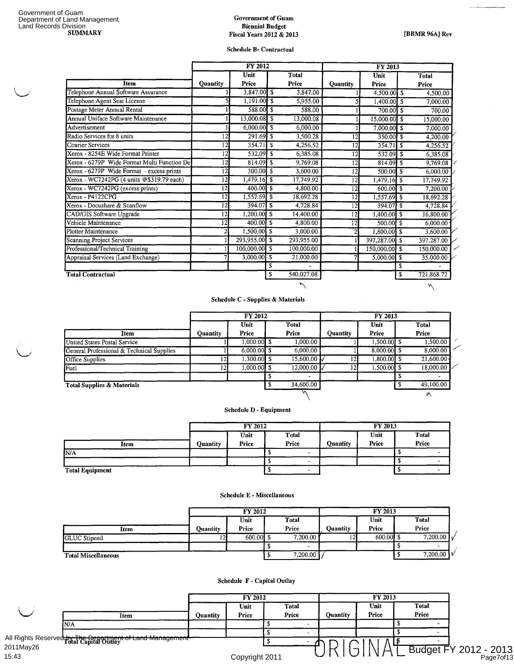#### **Government of Guam Biennial Budget**  Fiscal Years 2012 & 2013 **Fiscal Years 2012 & 2013 EXECUTE:** [BBMR 96A] Rev

 $\overline{M}$ 

#### **Schedule B- Contractual**

|                                             |                 | <b>FY 2012</b> |     | <b>FY 2013</b> |                 |                                    |    |            |  |
|---------------------------------------------|-----------------|----------------|-----|----------------|-----------------|------------------------------------|----|------------|--|
|                                             |                 | Unit           |     | <b>Total</b>   |                 | Unit                               |    | Total      |  |
| <b>Item</b>                                 | <b>Quantity</b> | Price          |     | Price          | <b>Quantity</b> | Price                              |    | Price      |  |
| Telephone Annual Software Assurance         |                 | 3,847.00 \$    |     | 3,847.00       |                 | 4,500.00 \$                        |    | 4,500.00   |  |
| Telephone Agent Seat License                |                 | $1,191.00$ \$  |     | 5,955.00       |                 | $1,400.00$ \$                      |    | 7,000.00   |  |
| Postage Meter Annual Rental                 |                 | 588.00 \$      |     | 588.00         |                 | 700.00 \$                          |    | 700.00     |  |
| Annual Uniface Software Maintenance         |                 | $13,000.08$ \$ |     | 13,000.08      |                 | 15,000.00 \$                       |    | 15,000.00  |  |
| Advertisement                               |                 | $6,000,00$ \$  |     | 6,000.00       |                 | 7,000.00 \$                        |    | 7,000.00   |  |
| Radio Services for 8 units                  | 12              | $291.69$ \$    |     | 3,500.28       | 12              | $350.00$ \$                        |    | 4,200.00   |  |
| Courier Services                            | ī2              |                |     | 4,256.52       | 12              | $354.71$ \$                        |    | 4,256.52   |  |
| Xerox - 8254E Wide Format Printer           | 12              | 532.09 \$      |     | 6,385.08       | 12              | $532.09$ $\overline{\phantom{1}5}$ |    | 6,385.08   |  |
| Xerox - 6279P Wide Format Multi Function De | 12              | $814.09$ \$    |     | 9,769.08       | 12              | $814.09$ \$                        |    | 9,769.08   |  |
| Xerox - 6279P Wide Format - excess prints   | 12              | $300.00$ \$    |     | 3,600.00       | $1\overline{2}$ | $500.00$ \$                        |    | 6,000.00   |  |
| Xerox - WC7242PG (4 units @\$319.79 each)   | $\overline{1}2$ | $1,479.16$ \$  |     | 17,749.92      | $\overline{12}$ | $1,479.16$ \$                      |    | 17,749.92  |  |
| Xerox - WC7242PG (excess prints)            | $\overline{12}$ | $400.00$ \$    |     | 4,800.00       | 12              | $600.00$ \$                        |    | 7,200.00   |  |
| $Xerox - P4122CPG$                          | $\overline{12}$ | $1,557.69$ \$  |     | 18,692.28      | 12              | $1,557.69$ \$                      |    | 18,692.28  |  |
| Xerox - Docushare & Scanflow                | $\overline{1}2$ | $394.07$ \$    |     | 4,728.84       | 12              | $394.07$ \$                        |    | 4,728.84   |  |
| <b>CAD/GIS Software Upgrade</b>             | $\overline{1}2$ | $1,200.00$ \$  |     | 14,400.00      | 12              | 1,400.00                           | -S | 16,800.00  |  |
| Vehicle Maintenance                         | $\overline{1}2$ | $400.00$ \$    |     | 4,800.00       | 12              | 500.00 S                           |    | 6,000.00   |  |
| Plotter Maintenance                         |                 | $1,500.00$ \$  |     | 3,000.00       | 2               | $1,800.00$ \$                      |    | 3,600.00   |  |
| <b>Scanning Project Services</b>            |                 | 293,955.00 \$  |     | 293,955.00     |                 | 397,287.00 \$                      |    | 397,287.00 |  |
| Professional/Technical Training             | ٠               | 100,000.00 \$  |     | 100,000.00     |                 | $150,000.00$ \$                    |    | 150,000.00 |  |
| Appraisal Services (Land Exchange)          |                 | 3,000.00       | ՝ Տ | 21,000.00      |                 | $5,000.00$ \$                      |    | 35,000.00  |  |
|                                             |                 |                | \$  |                |                 |                                    | \$ |            |  |
| <b>Total Contractual</b>                    |                 |                | \$  | 540,027.08     |                 |                                    | \$ | 721,868.72 |  |
|                                             |                 |                |     | ハ              |                 |                                    |    | N          |  |

#### **Schedule C - Supplies & Materials**

|                                           |          | <b>FY 2012</b> |       |                       |          | FY 2013       |       |              |  |  |
|-------------------------------------------|----------|----------------|-------|-----------------------|----------|---------------|-------|--------------|--|--|
|                                           |          | Unit           |       | Total                 |          | Unit          |       | <b>Total</b> |  |  |
| Item                                      | Ouantity | Price          | Price |                       | Quantity | Price         | Price |              |  |  |
| <b>United States Postal Service</b>       |          | 1.000.00 \$    |       | 1,000.00              |          | 1.500.00 \$   |       | 1.500.00     |  |  |
| General Professional & Technical Supplies |          | $6,000,00$ \$  |       | 6,000.00              |          | $8,000,00$ \$ |       | 8,000.00     |  |  |
| <b>Office Supplies</b>                    |          | $1,300.00$ \$  |       | $15,600.00 \text{ k}$ |          | 1,800.00 \$   |       | 21,600,00    |  |  |
| Fuel                                      |          | $1,000,00$ \$  |       | 12,000.00             |          | $1,500.00$ \$ |       | 18,000.00    |  |  |
|                                           |          |                |       |                       |          |               |       |              |  |  |
| <b>Total Supplies &amp; Materials</b>     |          |                |       | 34,600.00             |          |               |       | 49,100.00    |  |  |
|                                           |          |                |       |                       |          |               |       | 叭            |  |  |

#### **Schedule D - Equipment**

|                        |          | <b>FY 2012</b> |       | FY 2013         |       |  |              |  |  |  |
|------------------------|----------|----------------|-------|-----------------|-------|--|--------------|--|--|--|
|                        |          | Unit           | Total |                 | Unit  |  | <b>Total</b> |  |  |  |
| Item                   | Ouantity | Price          | Price | <b>Quantity</b> | Price |  | Price        |  |  |  |
| IN/A                   |          |                |       |                 |       |  |              |  |  |  |
|                        |          |                | -     |                 |       |  |              |  |  |  |
| <b>Total Equipment</b> |          | $\sim$         |       |                 |       |  |              |  |  |  |

'quip

#### Schedule E - Miscellaneous

|                            |          | FY 2012       |                | FY 2013  |               |  |                               |  |  |  |
|----------------------------|----------|---------------|----------------|----------|---------------|--|-------------------------------|--|--|--|
| Item                       | Ouantity | Unit<br>Price | Total<br>Price | Ouantity | Unit<br>Price |  | Total<br>Price                |  |  |  |
| <b>GLUC</b> Stipend        |          | 600.00        | 7,200.00       |          | $600.00$ \$   |  | 7,200.00 $\sqrt{ }$           |  |  |  |
|                            |          |               |                |          |               |  |                               |  |  |  |
| <b>Total Miscellaneous</b> |          |               | 7,200.00       |          |               |  | 7,200.00 $\sqrt{\frac{6}{1}}$ |  |  |  |

#### **Schedule F - Capital Outlay**

|           |                                                  |          | <b>FY 2012</b> |              |                 | FY 2013 |       |                                    |
|-----------|--------------------------------------------------|----------|----------------|--------------|-----------------|---------|-------|------------------------------------|
|           |                                                  |          | Unit           | <b>Total</b> |                 | Unit    | Total |                                    |
|           | Item                                             | Quantity | Price          | Price        | <b>Ouantity</b> | Price   | Price |                                    |
|           | IN/A                                             |          |                |              |                 |         |       |                                    |
|           |                                                  |          |                |              |                 |         |       |                                    |
|           | All Rights Reserved by Tre Ren of the Management |          |                |              |                 |         |       |                                    |
| 2011May26 |                                                  |          |                |              | <b>COMPA</b>    | ∸       |       |                                    |
| 15:43     |                                                  |          | Copyright 2011 |              |                 |         |       | Budget FY 2012 - 2013<br>Page7of13 |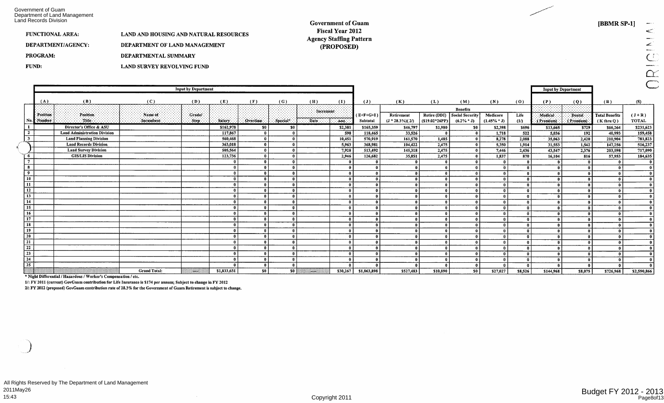Government of Guam<br>Department of Land Management<br>Land Records Division

#### **Government of Guam** Fiscal Year 2012 **Agency Staffing Pattern** (PROPOSED)

[BBMR SP-1]

 $\frac{1}{2}$  $\mathcal{L}$ ORIGIN

| FUNCTIONAL AREA:   | <b>LAND AND HOUSING AND NATURAL RESOURCES</b> |
|--------------------|-----------------------------------------------|
| DEPARTMENT/AGENCY: | DEPARTMENT OF LAND MANAGEMENT                 |
| PROGRAM:           | DEPARTMENTAL SUMMARY                          |
| <b>FUND:</b>       | LAND SURVEY REVOLVING FUND                    |

|                             |            | <b>Input by Department</b>          |                     |        |             |                |          |                  |              |                |                              |                  |                 |                |              | <b>Input by Department</b> |           |                       |              |
|-----------------------------|------------|-------------------------------------|---------------------|--------|-------------|----------------|----------|------------------|--------------|----------------|------------------------------|------------------|-----------------|----------------|--------------|----------------------------|-----------|-----------------------|--------------|
|                             | (A)        | (B)                                 | (C)                 | (D)    | (E)         | (F)            | (G)      | (H)              | (1)          | $(\mathbf{J})$ | (K)                          | (L)              | (M)             | (N)            | (0)          | (P)                        | (Q)       | (R)                   | (S)          |
|                             |            |                                     |                     |        |             |                |          | <b>Increment</b> |              |                |                              |                  | <b>Benefits</b> |                |              |                            |           |                       |              |
|                             | Position   | Position.                           | · Name of           | Crade/ |             |                |          |                  | .            | $(E+F+G+I)$    | Retirement                   | Retire (DDI)     | Social Security | Medicare       | Life         | Medical                    | Dental -  | <b>Total Benefits</b> | $(J+R)$      |
|                             | No. Number | Title.                              | Incumbent           | Step:  | Salary:     | Overtime:      | Special* | Date             | Aint.        | Subtotal       | $(J * 28.3\%)$ (2/)          | [(\$19.02*26PP)] | $(6.2\% * J)$   | $(1.45\% * J)$ | (1)          | (Premium)                  | (Premium) | $(K$ thru $Q)$        | <b>TOTAL</b> |
|                             |            | Director's Office & ASU             |                     |        | \$162,978   | - SO I         | -50      |                  | \$2,381      | \$165,359      | \$46,797                     | \$1,980          | \$0             | \$2,398        | \$696        | \$13,665                   | \$729     | \$66,264              | \$231,623    |
| $\overline{\mathbf{2}}$     |            | <b>Land Administration Division</b> |                     |        | 117,867     | $\mathbf{a}$   |          |                  | 598          | 118,465        | 33,526                       |                  |                 | 1,718          | 522          | 5,036                      | 192       | 40,993                | 159,458      |
| $3^{\circ}$                 |            | <b>Land Planning Division</b>       |                     |        | 560,468     | $\Omega$       |          |                  | 10,451       | 570,919        | 161,570                      | 1,485            |                 | 8,278          | 2,088        | 35,063                     | 2,420     | 210,904               | 781,823      |
|                             |            | <b>Land Records Division</b>        |                     |        | 363,018     |                |          |                  | 5,963        | 368,981        | 104,422                      | 2,475            |                 | 5,350          | 1,914        | 31,553                     | 1,542     | 147,256               | 516,237      |
|                             |            | <b>Land Survey Division</b>         |                     |        | 505,564     |                |          |                  | 7,928        | 513,492        | 145,318                      | 2,475            |                 | 7,446          | 2,436        | 43,547                     | 2,376     | 203,598               | 717,090      |
| 6                           |            | <b>GIS/LIS Division</b>             |                     |        | 123,736     |                |          |                  | 2,946        | 126,682        | 35,851                       | 2,475            |                 | 1,837          | 870          | 16,104                     | 816       | 57,953                | 184,635      |
| $7\phantom{.0}$<br>$\bf{8}$ |            |                                     |                     |        |             |                |          |                  |              |                | $\mathbf{0}$                 |                  |                 |                | $\mathbf{r}$ |                            |           |                       |              |
| 9                           |            |                                     |                     |        |             |                |          |                  |              |                | $\mathbf{0}$<br>$\mathbf{r}$ |                  |                 |                |              |                            |           |                       |              |
| 10 <sub>1</sub>             |            |                                     |                     |        |             |                |          |                  |              |                | 0                            |                  |                 |                |              |                            |           |                       |              |
| $\overline{11}$             |            |                                     |                     |        |             |                |          |                  | $\mathbf{r}$ |                | 0                            |                  |                 |                |              |                            |           |                       |              |
| 12                          |            |                                     |                     |        |             |                |          |                  |              |                | $\mathbf{r}$                 |                  |                 |                |              |                            |           |                       |              |
| 13                          |            |                                     |                     |        |             |                |          |                  |              |                | $\mathbf{r}$                 |                  |                 |                |              |                            |           |                       |              |
| 14                          |            |                                     |                     |        |             |                |          |                  | $\mathbf{r}$ |                | $\mathbf{a}$                 |                  |                 |                | $\sqrt{2}$   |                            |           |                       |              |
| 15                          |            |                                     |                     |        |             |                |          |                  | $\mathbf{a}$ |                | $\mathbf{r}$                 | n                |                 |                | - 0          |                            |           |                       |              |
| 16                          |            |                                     |                     |        |             |                |          |                  | - 0          |                | $\mathbf{a}$                 |                  |                 |                |              |                            |           |                       |              |
| $\overline{17}$             |            |                                     |                     |        |             |                |          |                  | -0           |                | $\mathbf{r}$                 |                  |                 |                | - 0          |                            |           |                       |              |
| 18                          |            |                                     |                     |        |             |                |          |                  | $\mathbf{r}$ |                | 0                            |                  |                 |                | - 0          |                            |           |                       |              |
| ----<br>19                  |            |                                     |                     |        |             |                |          |                  | - 0          |                | 0                            |                  |                 |                |              |                            |           |                       |              |
| $\overline{20}$             |            |                                     |                     |        |             |                |          |                  | $\mathbf{r}$ |                | $\mathbf{a}$                 |                  |                 |                |              |                            |           |                       |              |
| $\overline{21}$             |            |                                     |                     |        |             |                |          |                  | n            |                | $\mathbf{r}$                 | U                |                 |                |              |                            |           |                       |              |
| 22                          |            |                                     |                     |        |             |                |          |                  | $\Omega$     |                | 0                            |                  |                 |                |              |                            |           |                       |              |
| $\overline{23}$             |            |                                     |                     |        |             |                |          |                  |              |                | 0                            |                  |                 |                |              |                            |           |                       |              |
| $\overline{24}$             |            |                                     |                     |        |             |                |          |                  | $\mathbf{r}$ |                | $\mathbf{r}$                 | $\mathbf{a}$     |                 |                | - 0          |                            |           |                       |              |
| 25                          |            |                                     |                     |        |             |                |          |                  | $\mathbf{r}$ |                | $\mathbf{r}$                 |                  |                 |                |              |                            |           |                       |              |
|                             |            |                                     | <b>Grand Total:</b> | - 33   | \$1,833,631 | S <sub>0</sub> | - so l   | - 3              | \$30,267     | \$1,863,898    | \$527,483                    | \$10,890         | 50              | \$27.027       | \$8.526      | \$144,968                  | \$8,075   | \$726,968             | \$2,590,866  |

\* Night Differential / Hazardous / Worker's Compensation / etc.

1/: FY 2011 (current) GovGuam contribution for Life Insurance is \$174 per annum; Subject to change in FY 2012

2/: FY 2012 (proposed) GovGuam contribution rate of 28.3% for the Government of Guam Retirement is subject to change.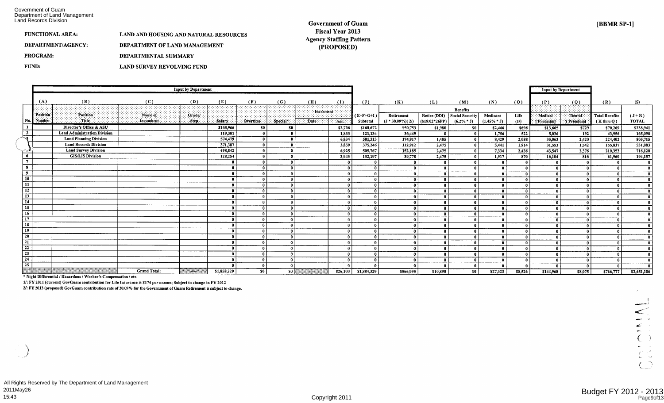Department of Land Management Government of Guam Land Records Division

#### **Government of Guam Fiscal Year 2013 Agency Staffmg Pattern (PROPOSED)**

| <b>FUNCTIONAL AREA:</b> | <b>LAND AND HOUSING AND NATURAL RESOURCES</b> |
|-------------------------|-----------------------------------------------|
| DEPARTMENT/AGENCY:      | DEPARTMENT OF LAND MANAGEMENT                 |
| <b>PROGRAM:</b>         | <b>DEPARTMENTAL SUMMARY</b>                   |
| FUND:                   | LAND SURVEY REVOLVING FUND                    |

|                                   | <b>Input by Department</b>    |                                     |                      |                     |             |                             |                       |                         |                       |                         |                                    |                      |                                               |                              |              | <b>Input by Department</b>   |              |                       |                         |
|-----------------------------------|-------------------------------|-------------------------------------|----------------------|---------------------|-------------|-----------------------------|-----------------------|-------------------------|-----------------------|-------------------------|------------------------------------|----------------------|-----------------------------------------------|------------------------------|--------------|------------------------------|--------------|-----------------------|-------------------------|
|                                   | (A)                           | (B)                                 | (C)                  | (D)                 | (E)         | (F)                         | (G)                   | (H)                     | (I)                   | $(\mathbf{J})$          | (K)                                | (L)                  | (M)                                           | (N)                          | (0)          | (P)                          | (Q)          | (R)                   | (S)                     |
|                                   |                               |                                     |                      |                     |             |                             |                       | Increment               |                       |                         |                                    |                      | <b>Benefits</b>                               |                              |              |                              |              |                       |                         |
|                                   | <b>Position</b><br>No. Number | Position.<br>: Title :              | Name of<br>Incumbent | Crade/<br>$-Step -$ | Salary:     |                             |                       | Date:                   |                       | $(E+F+G+I)$<br>Subtotal | Retirement<br>$(J * 30.09\%)$ (2/) | $(S19.02*26PP)$      | Retire (DDI) Social Security<br>$(6.2\% * J)$ | Medicare<br>$(1.45\% * J)$   | Life         | Medical                      | Dental       | <b>Total Benefits</b> | $(J+R)$<br><b>TOTAL</b> |
|                                   |                               | Director's Office & ASU             |                      |                     | \$165,966   | Overtime:<br>S <sub>0</sub> | $\therefore$ Special* |                         | $\sim$ Amp<br>\$2,706 | \$168,672               | \$50,753                           |                      |                                               |                              | (1)          | (Premium)                    | (Premium)    | $(K$ thru $Q)$        |                         |
| $\overline{2}$                    |                               | <b>Land Administration Division</b> |                      |                     | 119,301     |                             | SO.                   |                         | 1,833                 | 121,134                 | 36,449                             | \$1,980              | <b>SO</b>                                     | \$2,446<br>1,756             | \$696<br>522 | \$13,665<br>5,036            | \$729<br>192 | \$70,269<br>43,956    | \$238,941<br>165,090    |
| -3                                |                               | <b>Land Planning Division</b>       |                      |                     | 574,479     | $\mathbf{r}$                |                       |                         | 6,834                 | 581.313                 | 174,917                            | 1,485                |                                               | 8,429                        | 2,088        | 35,063                       | 2,420        | 224,402               | 805,715                 |
|                                   |                               | <b>Land Records Division</b>        |                      |                     | 371,387     |                             |                       |                         | 3,859                 | 375,246                 | 112,912                            | 2,475                |                                               | 5,441                        | 1,914        | 31,553                       | 1,542        | 155,837               | 531,083                 |
| ه ئ                               |                               | <b>Land Survey Division</b>         |                      |                     | 498,842     | $\mathbf{r}$                |                       |                         | 6,925                 | 505,767                 | 152,185                            | 2,475                | -0                                            | 7,334                        | 2,436        | 43,547                       | 2,376        | 210,353               | 716,120                 |
| 6                                 |                               | <b>GIS/LIS Division</b>             |                      |                     | 128,254     | $\mathbf{a}$                |                       |                         | 3,943                 | 132,197                 | 39,778                             | 2,475                |                                               | 1,917                        | 870          | 16,104                       | 816          | 61,960                | 194,157                 |
|                                   |                               |                                     |                      |                     |             | $\mathbf{a}$                |                       |                         | - 0                   |                         | $\mathbf{0}$                       | $\mathbf{a}$         | $\mathbf{r}$                                  | $\mathbf{a}$                 |              | - 0                          |              |                       |                         |
| 8                                 |                               |                                     |                      |                     |             | $\mathbf{a}$                |                       |                         | - 0                   |                         | $\mathbf{0}$                       | $\theta$             |                                               | $\mathbf{a}$                 |              |                              |              |                       |                         |
| $\overline{9}$                    |                               |                                     |                      |                     |             | $\theta$                    |                       |                         | $\theta$              | $\mathbf{r}$            | $\mathbf 0$                        | $\mathbf{0}$         |                                               | - 0                          |              |                              |              |                       |                         |
| 10                                |                               |                                     |                      |                     |             | $\mathbf{a}$                |                       |                         | - 0                   |                         | $\mathbf{0}$                       | $\theta$             |                                               | $\Omega$                     |              |                              |              |                       |                         |
| $\overline{\mathbf{11}}$          |                               |                                     |                      |                     |             | $\mathbf{a}$                |                       |                         | - 0                   | $\mathbf{r}$            | $\mathbf{r}$                       | $\mathbf{a}$         |                                               | $\mathbf{a}$                 |              | -01                          |              |                       |                         |
| $\overline{12}$                   |                               |                                     |                      |                     |             | $\mathbf{a}$                |                       |                         | $\mathbf{a}$          | $\mathbf{r}$            |                                    | $\mathbf{0}$         |                                               | $\mathbf{a}$                 |              |                              |              |                       |                         |
| $\overline{13}$<br>$\frac{1}{14}$ |                               |                                     |                      |                     |             | $\mathbf{r}$                |                       |                         | - 0                   | $\mathbf{a}$            | $\theta$                           | $\Omega$             |                                               | $\mathbf{a}$                 |              | $\mathbf{r}$                 |              |                       |                         |
| $\overline{15}$                   |                               |                                     |                      |                     |             | $\Omega$                    |                       |                         |                       |                         |                                    | $\theta$             |                                               |                              |              | $\mathbf{r}$                 |              |                       |                         |
|                                   |                               |                                     |                      |                     |             | $\mathbf{r}$                |                       |                         | $\mathbf{a}$          | $\mathbf{a}$            | $\mathbf{0}$                       | $\mathbf{a}$         |                                               | $\mathbf{a}$                 |              | $\mathbf{r}$                 |              |                       |                         |
| 16<br>17                          |                               |                                     |                      |                     |             | $\mathbf{a}$<br>$\Omega$    |                       |                         |                       |                         | $\bf{0}$                           | $\theta$             |                                               | $\theta$                     |              | $\theta$                     |              |                       |                         |
| 18                                |                               |                                     |                      |                     |             | $\theta$                    |                       |                         |                       |                         | $\bf{0}$                           | $\theta$<br>$\theta$ |                                               | $\mathbf{a}$<br>$\mathbf{a}$ |              | $\mathbf{a}$<br>$\mathbf{r}$ |              |                       |                         |
| 19                                |                               |                                     |                      |                     |             | $\Omega$                    |                       |                         |                       |                         | $\mathbf{0}$<br>$\mathbf{0}$       | $\sqrt{2}$           |                                               | $\mathbf{a}$                 |              | $\mathbf{a}$                 |              |                       |                         |
| 20                                |                               |                                     |                      |                     |             | 0                           |                       |                         |                       |                         | 0                                  | $\mathbf{a}$         |                                               | $\mathbf{a}$                 |              |                              |              |                       |                         |
| 21                                |                               |                                     |                      |                     |             |                             |                       |                         |                       |                         | $\mathbf{0}$                       | $\mathbf{a}$         |                                               | $\Omega$                     |              |                              |              |                       |                         |
| 22                                |                               |                                     |                      |                     |             | 0                           |                       |                         |                       |                         | $\mathbf{0}$                       | $\theta$             |                                               | $\Omega$                     |              | -01                          |              |                       |                         |
| 23                                |                               |                                     |                      |                     |             | $^{\circ}$                  |                       |                         |                       |                         | 0                                  | $\theta$             |                                               | $\theta$                     |              | $\mathbf{a}$                 |              |                       |                         |
| $\overline{24}$                   |                               |                                     |                      |                     |             | $\mathbf{0}$                |                       |                         | - 0                   |                         | $\mathbf{0}$                       | $\theta$             |                                               | $\mathbf{a}$                 |              | $\mathbf{r}$                 |              |                       |                         |
| 25                                |                               |                                     |                      |                     |             | $\mathbf{0}$                |                       |                         |                       |                         |                                    |                      |                                               |                              |              |                              |              |                       |                         |
|                                   |                               |                                     | <b>Grand Total:</b>  | $\sim$              | \$1,858,229 | 50                          | S <sub>0</sub>        | $\lambda$ and $\lambda$ | \$26,100              | \$1,884,329             | \$566,995                          | \$10,890             | SO <sub>1</sub>                               | \$27,323                     | \$8,526      | \$144,968                    | \$8,075      | \$766,777             | \$2,651,106             |

\* Night Differential / Hazardous / Worker's Compensation / etc.

1/: FY 2011 (current) GovGuam contribution for Life Insurance is \$174 per annum; Subject to change in FY 2012

2/: FY 2013 (proposed) GovGuam contribution rate of 30.09% for the Government of Guam Retirement is subject to change.

 $\leq$ Ł  $\sim$   $\omega$  $\sim$  $\Delta$ 

 $\mathcal{P}$  $\sim$  $\overline{C}$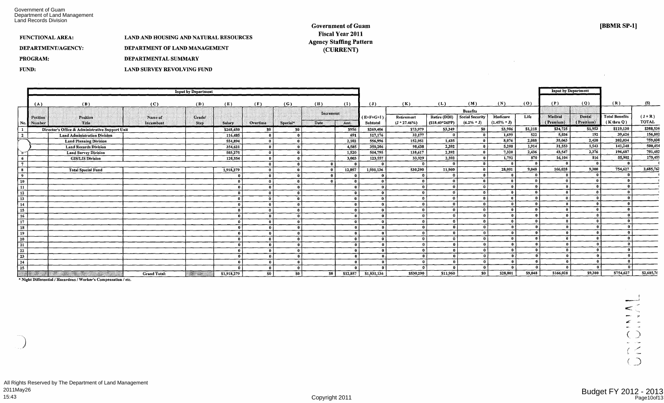Department of Land Management Government of Guam Land Records Division

**[BBMR SP-1]** 

#### FUNCTIONAL AREA: DEPARTMENT/AGENCY: PROGRAM: FUND: LAND AND HOUSING AND NATURAL RESOURCES DEPARTMENT OF LAND MANAGEMENT DEPARTMENTAL SUMMARY LAND SURVEY REVOLVING FUND

#### **Government of Guam Fiscal Year 2011 Agency Staffing Pattern (CURRENT)**

|                            |            |                                                 |                     |                  |               |                |                              |              |              |                |                |                     |                        |                |              | <b>Input by Department</b> |               |                       |              |
|----------------------------|------------|-------------------------------------------------|---------------------|------------------|---------------|----------------|------------------------------|--------------|--------------|----------------|----------------|---------------------|------------------------|----------------|--------------|----------------------------|---------------|-----------------------|--------------|
| <b>Input by Department</b> |            |                                                 |                     |                  |               |                |                              |              |              |                |                |                     |                        |                |              |                            |               |                       |              |
|                            | (A)        | (B)                                             | (C)                 | (D)              | (E)           | (F)            | (G)                          | (H)          | (I)          | $(\mathbf{J})$ | (K)            | (L)                 | (M)                    | (N)            | (0)          | (P)                        | (Q)           | (R)                   | (S)          |
|                            |            |                                                 |                     |                  |               |                |                              | Increment    |              |                |                |                     | <b>Benefits</b>        |                |              |                            |               |                       |              |
|                            | Position   | Position                                        | Name of             | Grade/           |               |                |                              |              |              | $(E+F+G+I)$    | Retirement     | <b>Retire (DDI)</b> | <b>Social Security</b> | Medicare       | Life         | Medical                    | <b>Dental</b> | <b>Total Benefits</b> | $(J+R)$      |
|                            | No. Number | Title                                           | Incumbent           | <b>Step</b>      | <b>Salary</b> | Overtime       | Special*                     | <b>Date</b>  | Amt.         | Subtotal       | $(J * 27.46%)$ | $(S18.40*26PP)$     | $(6.2\% * J)$          | $(1.45\% * J)$ |              | (Premium)                  | (Premium)     | $(K$ thru $Q)$        | <b>TOTAL</b> |
|                            |            | Director's Office & Administrative Support Unit |                     |                  | \$268,450     | \$0            | \$0                          |              | \$956        | \$269,406      | \$73,979       | \$3,349             | \$0                    | \$3,906        | \$1,218      | \$34,725                   | \$1,953       | \$119,130             | \$388,536    |
| $\overline{\mathbf{2}}$    |            | <b>Land Administration Division</b>             |                     |                  | 116,485       | -0             | $\mathbf{r}$                 |              | 691          | 117,176        | 32,177         | -0                  | - 0                    | 1,699          | 522          | 5,036                      | 192           | 39,626                | 156,802      |
|                            |            | <b>Land Planning Division</b>                   |                     |                  | 554,894       | $\sim$         |                              |              | 2,102        | 556,996        | 152,951        | 1,435               | $\mathbf{0}$           | 8,076          | 2,088        | 35,063                     | 2,420         | 202,034               | 759,030      |
|                            |            | <b>Land Records Division</b>                    |                     |                  | 354,621       | $\mathbf{r}$   |                              |              | 4,585        | 359,206        | 98,638         | 2,392               | $\mathbf{a}$           | 5,208          | 1,914        | 31,553                     | 1,543         | 141,248               | 500,454      |
| ి                          |            | <b>Land Survey Division</b>                     |                     |                  | 503,275       | - 0            |                              |              | 1,520        | 504,795        | 138,617        | 2,392               | $\bullet$              | 7,320          | 2,436        | 43,547                     | 2,376         | 196.687               | 701,482      |
| 6                          |            | <b>GIS/LIS Division</b>                         |                     |                  | 120,554       | - 0            | - 0                          |              | 3,003        | 123,557        | 33,929         | 2,392               | - 0                    | 1,792          | 870          | 16,104                     | 816           | 55,902                | 179,459      |
| $7^{\circ}$                |            |                                                 |                     |                  |               |                |                              | $\mathbf{r}$ | $\mathbf{r}$ |                |                |                     | - 0                    |                | $\mathbf{0}$ |                            |               |                       |              |
| -8                         |            | <b>Total Special Fund</b>                       |                     |                  | 1,918,279     | - 0            |                              | $\mathbf{a}$ | 12,857       | 1,931,136      | 530,290        | 11,960              | - 0                    | 28,001         | 9,048        | 166,028                    | 9,300         | 754,627               | 2,685,763    |
| .و ا                       |            |                                                 |                     |                  |               |                |                              |              |              |                |                | $\mathbf{0}$        | $\mathbf{0}$           |                |              |                            |               |                       |              |
| 10                         |            |                                                 |                     |                  |               |                |                              |              | - 0          | - 0            |                | -0                  | - 0                    |                | $\mathbf{r}$ |                            |               |                       |              |
| 11                         |            |                                                 |                     |                  |               |                |                              |              | - 0          | $\mathbf{a}$   |                | - 0                 | $\mathbf{0}$           | -0             |              |                            |               |                       |              |
| 12                         |            |                                                 |                     |                  |               | - C            |                              |              | $\mathbf{a}$ | $\theta$       | $\mathbf{a}$   | $\mathbf{r}$        | - 0                    | - 0            | $\mathbf{a}$ |                            | $\mathbf{a}$  |                       |              |
| 13                         |            |                                                 |                     |                  |               | - 0            | $\theta$                     |              | -0           | $\theta$       |                | $\mathbf{a}$        | $\mathbf{0}$           |                |              | Λ                          |               |                       |              |
| 14                         |            |                                                 |                     |                  |               | - 0            | $\mathbf{u}$                 |              | - 0          | $\mathbf{r}$   |                | - 0                 | $\mathbf{0}$           | -0             | $\mathbf{a}$ |                            | 0<br>$\Omega$ |                       |              |
| $\overline{15}$            |            |                                                 |                     |                  |               | - 0            |                              |              | $\mathbf{a}$ | $\mathbf{a}$   |                | - 0                 | - 0                    |                | .പ           |                            | $\mathbf{r}$  |                       |              |
| 16                         |            |                                                 |                     |                  |               |                | $\Omega$                     |              | £            |                | $\Omega$       | - 0<br>- 0          | - 0<br>-0              |                | .ຄ. 1        |                            | $\mathbf{a}$  |                       |              |
| 17                         |            |                                                 |                     |                  |               |                | $\mathbf{0}$                 |              |              | $\mathbf{a}$   |                | - 0                 |                        | -0             | -01          |                            | $\mathbf{a}$  |                       |              |
| 18<br>--                   |            |                                                 |                     |                  |               |                | $\theta$                     |              |              |                |                | - 0                 | - 0                    |                | $\theta$     |                            |               |                       |              |
| 19                         |            |                                                 |                     |                  |               |                | $\mathbf{0}$<br>$\mathbf{r}$ |              | $\Omega$     |                |                | - 0                 | $\theta$               | $\mathbf{r}$   | $\mathbf{a}$ |                            |               |                       |              |
| 20                         |            |                                                 |                     |                  |               |                | - 0                          |              | $\mathbf{r}$ | $\mathbf{a}$   |                | - 0                 | $\theta$               |                | -n l         |                            |               |                       |              |
| 21                         |            |                                                 |                     |                  |               |                | $\theta$                     |              |              | $\mathbf{r}$   |                | -0                  | $\theta$               | -0             | - O I        | $\Omega$                   |               |                       |              |
| 22<br>---                  |            |                                                 |                     |                  |               |                | $\mathbf{r}$                 |              |              |                |                | - 0                 | $\Omega$               |                | -0.1         |                            |               |                       |              |
| 23<br>24                   |            |                                                 |                     |                  |               |                | $\mathbf{a}$                 |              | $\Omega$     |                |                | - 0                 | $\Omega$               |                | $\mathbf{0}$ |                            |               |                       |              |
| 25                         |            |                                                 |                     |                  |               |                | $\mathbf{a}$                 |              |              |                |                | - 0                 | $\Omega$               |                | $\mathbf{r}$ |                            | $\mathbf{r}$  |                       |              |
|                            |            | W.<br>SIMILLI<br>20                             | <b>Grand Total:</b> | a a shekarar 200 | \$1,918,279   | S <sub>0</sub> | \$0                          | \$0          | \$12,857     | \$1,931,136    | \$530,290      | \$11,960            | \$0                    | \$28,001       | \$9,048      | \$166,028                  | \$9,300       | \$754,627             | \$2,685,7    |

\* Night Differential / Hazardous / Worker's Compensation / etc.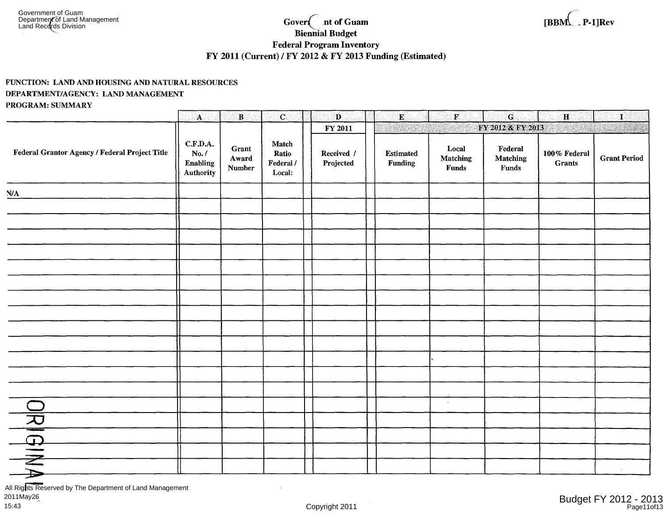#### nt of Guam Gover<sup>{</sup> **Biennial Budget Federal Program Inventory** FY 2011 (Current) / FY 2012 & FY 2013 Funding (Estimated)

### FUNCTION: LAND AND HOUSING AND NATURAL RESOURCES DEPARTMENT/AGENCY: LAND MANAGEMENT PROGRAM: SUMMARY

|                                                | $\mathbf{A}$                               | $\mathbf{B}$                    | $\mathbf{C}$                          | $\mathbf{D}$            | $\bf E$                     | $\mathbf{F}$                             | $\mathbf G$                          | $\mathbf{H}$                           | $\mathbf{I}$        |
|------------------------------------------------|--------------------------------------------|---------------------------------|---------------------------------------|-------------------------|-----------------------------|------------------------------------------|--------------------------------------|----------------------------------------|---------------------|
|                                                |                                            |                                 |                                       | FY 2011                 |                             |                                          | FY 2012 & FY 2013                    | $\mathcal{H}^{\text{c}}_{\text{c}}$ ). |                     |
| Federal Grantor Agency / Federal Project Title | C.F.D.A.<br>No. /<br>Enabling<br>Authority | Grant<br>Award<br><b>Number</b> | Match<br>Ratio<br>Federal /<br>Local: | Received /<br>Projected | <b>Estimated</b><br>Funding | Local<br><b>Matching</b><br><b>Funds</b> | ${\bf Federal}$<br>Matching<br>Funds | $100\,\%$ Federal<br><b>Grants</b>     | <b>Grant Period</b> |
| N/A                                            |                                            |                                 |                                       |                         |                             |                                          |                                      |                                        |                     |
|                                                |                                            |                                 |                                       |                         |                             |                                          |                                      |                                        |                     |
|                                                |                                            |                                 |                                       |                         |                             |                                          |                                      |                                        |                     |
|                                                |                                            |                                 |                                       |                         |                             |                                          |                                      |                                        |                     |
|                                                |                                            |                                 |                                       |                         |                             |                                          |                                      |                                        |                     |
|                                                |                                            |                                 |                                       |                         |                             |                                          |                                      |                                        |                     |
|                                                |                                            |                                 |                                       |                         |                             |                                          |                                      |                                        |                     |
|                                                |                                            |                                 |                                       |                         |                             |                                          |                                      |                                        |                     |
|                                                |                                            |                                 |                                       |                         |                             |                                          |                                      |                                        |                     |
|                                                |                                            |                                 |                                       |                         |                             |                                          |                                      |                                        |                     |
|                                                |                                            |                                 |                                       |                         |                             |                                          |                                      |                                        |                     |
|                                                |                                            |                                 |                                       |                         |                             |                                          |                                      |                                        |                     |
|                                                |                                            |                                 |                                       |                         |                             |                                          |                                      |                                        |                     |
|                                                |                                            |                                 |                                       |                         |                             | $\sim$                                   |                                      |                                        |                     |
|                                                |                                            |                                 |                                       |                         |                             |                                          |                                      |                                        |                     |
|                                                |                                            |                                 |                                       |                         |                             |                                          |                                      |                                        |                     |
|                                                |                                            |                                 |                                       |                         |                             |                                          |                                      |                                        |                     |
|                                                |                                            |                                 |                                       |                         |                             |                                          |                                      |                                        | $\sim$              |

All Rights Reserved by The Department of Land Management 2011May26 15:43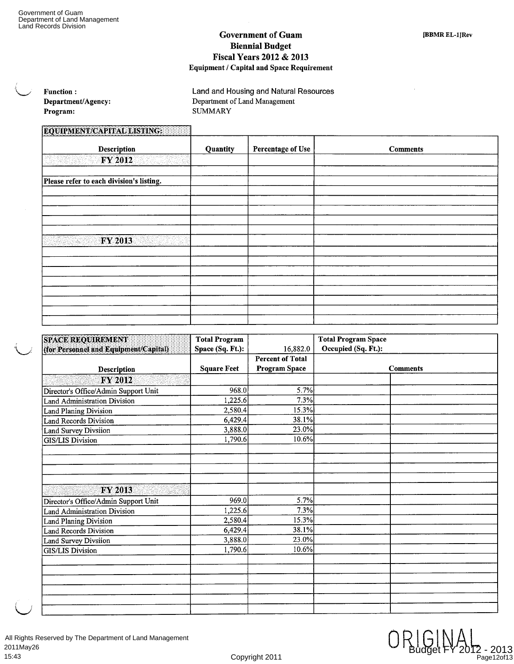### **Government of Guam Biennial Budget Fiscal Years 2012 & 2013 Equipment / Capital and Space Requirement**

| <b>Function:</b>   | Land and Housing and Natural Resources |  |  |  |  |  |
|--------------------|----------------------------------------|--|--|--|--|--|
| Department/Agency: | Department of Land Management          |  |  |  |  |  |
| Program:           | SUMMARY                                |  |  |  |  |  |

## **EQUIPMENT/CAPITAL LISTING:**

| <b>Description</b>                       | Quantity | <b>Percentage of Use</b> | <b>Comments</b> |
|------------------------------------------|----------|--------------------------|-----------------|
| <b>FY 2012</b>                           |          |                          |                 |
|                                          | $\sim$   |                          |                 |
| Please refer to each division's listing. |          |                          |                 |
|                                          |          |                          |                 |
|                                          |          |                          |                 |
|                                          |          |                          |                 |
|                                          |          |                          |                 |
|                                          |          |                          |                 |
| <b>FY 2013</b>                           |          |                          |                 |
|                                          |          |                          |                 |
|                                          |          |                          |                 |
|                                          |          |                          |                 |
|                                          |          |                          |                 |
|                                          |          |                          |                 |
|                                          |          |                          |                 |
|                                          |          |                          |                 |
|                                          |          |                          |                 |

| <b>SPACE REQUIREMENT</b>              | <b>Total Program</b> |                         | <b>Total Program Space</b> |  |  |  |  |
|---------------------------------------|----------------------|-------------------------|----------------------------|--|--|--|--|
| (for Personnel and Equipment/Capital) | Space (Sq. Ft.):     | 16,882.0                | Occupied (Sq. Ft.):        |  |  |  |  |
|                                       |                      | <b>Percent of Total</b> |                            |  |  |  |  |
| Description                           | <b>Square Feet</b>   | <b>Program Space</b>    | <b>Comments</b>            |  |  |  |  |
| FY 2012                               |                      |                         |                            |  |  |  |  |
| Director's Office/Admin Support Unit  | 968.0                | 5.7%                    |                            |  |  |  |  |
| <b>Land Administration Division</b>   | 1,225.6              | 7.3%                    |                            |  |  |  |  |
| <b>Land Planing Division</b>          | 2,580.4              | 15.3%                   |                            |  |  |  |  |
| <b>Land Records Division</b>          | 6,429.4              | 38.1%                   |                            |  |  |  |  |
| Land Survey Divsiion                  | 3,888.0              | 23.0%                   |                            |  |  |  |  |
| <b>GIS/LIS Division</b>               | 1,790.6              | 10.6%                   |                            |  |  |  |  |
|                                       |                      |                         |                            |  |  |  |  |
|                                       |                      |                         |                            |  |  |  |  |
|                                       |                      |                         |                            |  |  |  |  |
|                                       |                      |                         |                            |  |  |  |  |
| <b>FY 2013</b>                        |                      |                         |                            |  |  |  |  |
| Director's Office/Admin Support Unit  | 969.0                | 5.7%                    |                            |  |  |  |  |
| <b>Land Administration Division</b>   | 1,225.6              | 7.3%                    |                            |  |  |  |  |
| <b>Land Planing Division</b>          | 2,580.4              | 15.3%                   |                            |  |  |  |  |
| <b>Land Records Division</b>          | 6,429.4              | 38.1%                   |                            |  |  |  |  |
| Land Survey Divsiion                  | 3,888.0              | 23.0%                   |                            |  |  |  |  |
| <b>GIS/LIS Division</b>               | 1,790.6              | 10.6%                   |                            |  |  |  |  |
|                                       |                      |                         |                            |  |  |  |  |
|                                       |                      |                         |                            |  |  |  |  |
|                                       |                      |                         |                            |  |  |  |  |
|                                       |                      |                         |                            |  |  |  |  |
|                                       |                      |                         |                            |  |  |  |  |
|                                       |                      |                         |                            |  |  |  |  |